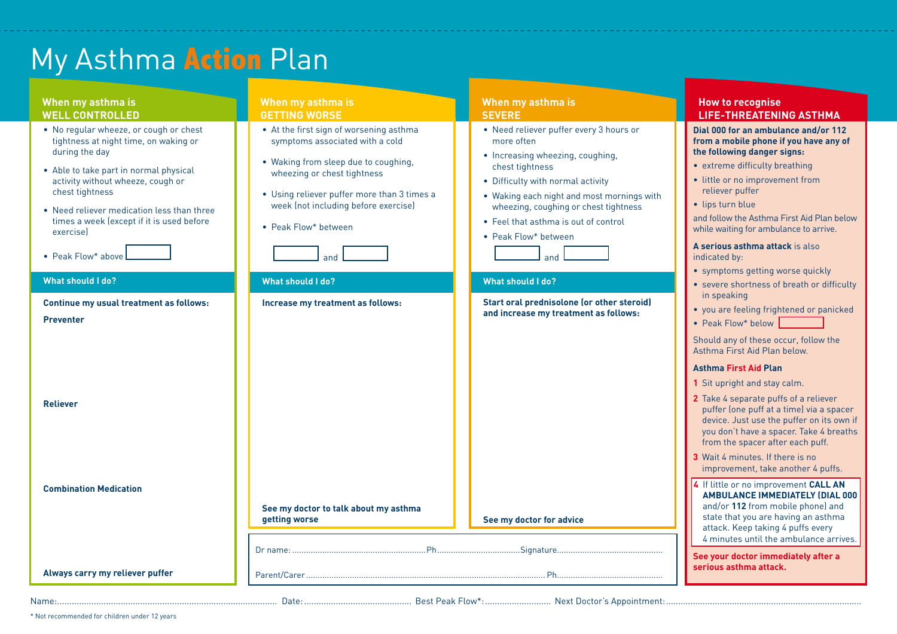# My Asthma **Action** Plan

| When my asthma is<br><b>WELL CONTROLLED</b>                                                                                                                                                                                                                                                                                      | When my asthma is<br><b>GETTING WORSE</b>                                                                                                                                                                                                                               | When my asthma is<br><b>SEVERE</b>                                                                                                                                                                                                                                                                              | <b>How to recognise</b><br><b>LIFE-THREATENING ASTHMA</b>                                                                                                                                                                                                                                                                                                                                                 |
|----------------------------------------------------------------------------------------------------------------------------------------------------------------------------------------------------------------------------------------------------------------------------------------------------------------------------------|-------------------------------------------------------------------------------------------------------------------------------------------------------------------------------------------------------------------------------------------------------------------------|-----------------------------------------------------------------------------------------------------------------------------------------------------------------------------------------------------------------------------------------------------------------------------------------------------------------|-----------------------------------------------------------------------------------------------------------------------------------------------------------------------------------------------------------------------------------------------------------------------------------------------------------------------------------------------------------------------------------------------------------|
| • No regular wheeze, or cough or chest<br>tightness at night time, on waking or<br>during the day<br>• Able to take part in normal physical<br>activity without wheeze, cough or<br>chest tightness<br>• Need reliever medication less than three<br>times a week (except if it is used before<br>exercise<br>• Peak Flow* above | • At the first sign of worsening asthma<br>symptoms associated with a cold<br>• Waking from sleep due to coughing,<br>wheezing or chest tightness<br>• Using reliever puffer more than 3 times a<br>week (not including before exercise)<br>• Peak Flow* between<br>and | • Need reliever puffer every 3 hours or<br>more often<br>• Increasing wheezing, coughing,<br>chest tightness<br>• Difficulty with normal activity<br>• Waking each night and most mornings with<br>wheezing, coughing or chest tightness<br>• Feel that asthma is out of control<br>• Peak Flow* between<br>and | Dial 000 for an ambulance and/or 112<br>from a mobile phone if you have any of<br>the following danger signs:<br>• extreme difficulty breathing<br>• little or no improvement from<br>reliever puffer<br>· lips turn blue<br>and follow the Asthma First Aid Plan below<br>while waiting for ambulance to arrive.<br>A serious asthma attack is also<br>indicated by:<br>• symptoms getting worse quickly |
| <b>What should I do?</b>                                                                                                                                                                                                                                                                                                         | <b>What should I do?</b>                                                                                                                                                                                                                                                | What should I do?                                                                                                                                                                                                                                                                                               | • severe shortness of breath or difficulty<br>in speaking                                                                                                                                                                                                                                                                                                                                                 |
| Continue my usual treatment as follows:<br><b>Preventer</b>                                                                                                                                                                                                                                                                      | Increase my treatment as follows:                                                                                                                                                                                                                                       | Start oral prednisolone (or other steroid)<br>and increase my treatment as follows:                                                                                                                                                                                                                             | • you are feeling frightened or panicked<br>• Peak Flow* below                                                                                                                                                                                                                                                                                                                                            |
|                                                                                                                                                                                                                                                                                                                                  |                                                                                                                                                                                                                                                                         |                                                                                                                                                                                                                                                                                                                 | Should any of these occur, follow the<br>Asthma First Aid Plan below.                                                                                                                                                                                                                                                                                                                                     |
|                                                                                                                                                                                                                                                                                                                                  |                                                                                                                                                                                                                                                                         |                                                                                                                                                                                                                                                                                                                 | <b>Asthma First Aid Plan</b>                                                                                                                                                                                                                                                                                                                                                                              |
|                                                                                                                                                                                                                                                                                                                                  |                                                                                                                                                                                                                                                                         |                                                                                                                                                                                                                                                                                                                 | 1 Sit upright and stay calm.                                                                                                                                                                                                                                                                                                                                                                              |
| <b>Reliever</b>                                                                                                                                                                                                                                                                                                                  |                                                                                                                                                                                                                                                                         |                                                                                                                                                                                                                                                                                                                 | 2 Take 4 separate puffs of a reliever<br>puffer (one puff at a time) via a spacer<br>device. Just use the puffer on its own if<br>you don't have a spacer. Take 4 breaths<br>from the spacer after each puff.<br>3 Wait 4 minutes. If there is no<br>improvement, take another 4 puffs.                                                                                                                   |
|                                                                                                                                                                                                                                                                                                                                  |                                                                                                                                                                                                                                                                         |                                                                                                                                                                                                                                                                                                                 | 4 If little or no improvement CALL AN                                                                                                                                                                                                                                                                                                                                                                     |
| <b>Combination Medication</b>                                                                                                                                                                                                                                                                                                    | See my doctor to talk about my asthma<br>getting worse                                                                                                                                                                                                                  | See my doctor for advice                                                                                                                                                                                                                                                                                        | AMBULANCE IMMEDIATELY (DIAL 000<br>and/or 112 from mobile phone) and<br>state that you are having an asthma<br>attack. Keep taking 4 puffs every<br>4 minutes until the ambulance arrives.                                                                                                                                                                                                                |
| Always carry my reliever puffer                                                                                                                                                                                                                                                                                                  |                                                                                                                                                                                                                                                                         | . Ph                                                                                                                                                                                                                                                                                                            | See your doctor immediately after a<br>serious asthma attack.                                                                                                                                                                                                                                                                                                                                             |
|                                                                                                                                                                                                                                                                                                                                  |                                                                                                                                                                                                                                                                         |                                                                                                                                                                                                                                                                                                                 |                                                                                                                                                                                                                                                                                                                                                                                                           |

\* Not recommended for children under 12 years